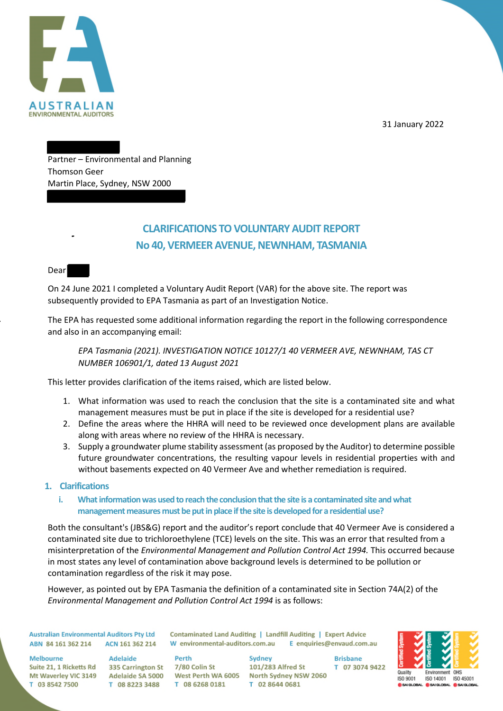

31 January 2022

Partner – Environmental and Planning Thomson Geer Martin Place, Sydney, NSW 2000

## **CLARIFICATIONS TO VOLUNTARY AUDIT REPORT No 40, VERMEER AVENUE, NEWNHAM, TASMANIA**

Dear

On 24 June 2021 I completed a Voluntary Audit Report (VAR) for the above site. The report was subsequently provided to EPA Tasmania as part of an Investigation Notice.

The EPA has requested some additional information regarding the report in the following correspondence and also in an accompanying email:

*EPA Tasmania (2021). INVESTIGATION NOTICE 10127/1 40 VERMEER AVE, NEWNHAM, TAS CT NUMBER 106901/1, dated 13 August 2021* 

This letter provides clarification of the items raised, which are listed below.

- 1. What information was used to reach the conclusion that the site is a contaminated site and what management measures must be put in place if the site is developed for a residential use?
- 2. Define the areas where the HHRA will need to be reviewed once development plans are available along with areas where no review of the HHRA is necessary.
- 3. Supply a groundwater plume stability assessment (as proposed by the Auditor) to determine possible future groundwater concentrations, the resulting vapour levels in residential properties with and without basements expected on 40 Vermeer Ave and whether remediation is required.

## **1. Clarifications**

**i. What information was used to reach the conclusion that the site is a contaminated site and what management measures must be put in place if the site is developed for a residential use?** 

Both the consultant's (JBS&G) report and the auditor's report conclude that 40 Vermeer Ave is considered a contaminated site due to trichloroethylene (TCE) levels on the site. This was an error that resulted from a misinterpretation of the *Environmental Management and Pollution Control Act 1994.* This occurred because in most states any level of contamination above background levels is determined to be pollution or contamination regardless of the risk it may pose.

However, as pointed out by EPA Tasmania the definition of a contaminated site in Section 74A(2) of the *Environmental Management and Pollution Control Act 1994* is as follows:

**Australian Environmental Auditors Pty Ltd** ABN 84 161 362 214 ACN 161 362 214

Contaminated Land Auditing | Landfill Auditing | Expert Advice W environmental-auditors.com.au E enquiries@envaud.com.au

**Melbourne** Suite 21, 1 Ricketts Rd 335 Carrington St T 03 8542 7500

Adelaide T 08 8223 3488

Perth 7/80 Colin St T 08 6268 0181

Sydney 101/283 Alfred St Mt Waverley VIC 3149 Adelaide SA 5000 West Perth WA 6005 North Sydney NSW 2060 T 02 8644 0681

**Brisbane** T 07 3074 9422

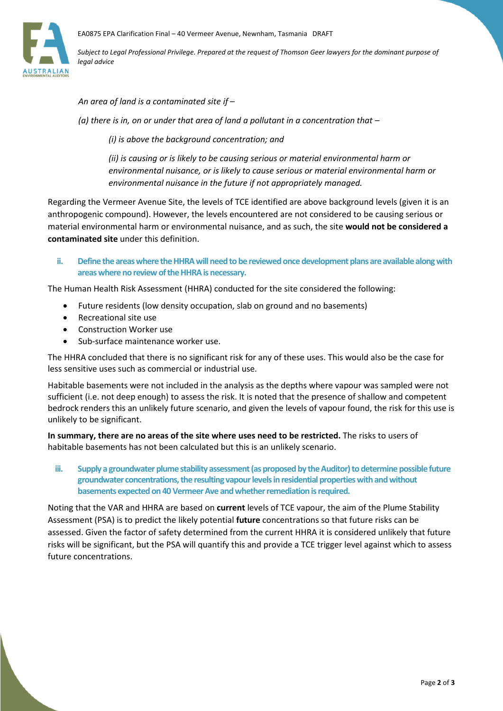

*Subject to Legal Professional Privilege. Prepared at the request of Thomson Geer lawyers for the dominant purpose of legal advice*

*An area of land is a contaminated site if –* 

*(a) there is in, on or under that area of land a pollutant in a concentration that –* 

*(i) is above the background concentration; and* 

*(ii) is causing or is likely to be causing serious or material environmental harm or environmental nuisance, or is likely to cause serious or material environmental harm or environmental nuisance in the future if not appropriately managed.* 

Regarding the Vermeer Avenue Site, the levels of TCE identified are above background levels (given it is an anthropogenic compound). However, the levels encountered are not considered to be causing serious or material environmental harm or environmental nuisance, and as such, the site **would not be considered a contaminated site** under this definition.

**ii. Define the areas where the HHRA will need to be reviewed once development plans are available along with areas where no review of the HHRA is necessary.** 

The Human Health Risk Assessment (HHRA) conducted for the site considered the following:

- Future residents (low density occupation, slab on ground and no basements)
- Recreational site use
- Construction Worker use
- Sub-surface maintenance worker use.

The HHRA concluded that there is no significant risk for any of these uses. This would also be the case for less sensitive uses such as commercial or industrial use.

Habitable basements were not included in the analysis as the depths where vapour was sampled were not sufficient (i.e. not deep enough) to assess the risk. It is noted that the presence of shallow and competent bedrock renders this an unlikely future scenario, and given the levels of vapour found, the risk for this use is unlikely to be significant.

**In summary, there are no areas of the site where uses need to be restricted.** The risks to users of habitable basements has not been calculated but this is an unlikely scenario.

**iii. Supply a groundwater plume stability assessment (as proposed by the Auditor) to determine possible future groundwater concentrations, the resulting vapour levels in residential properties with and without basements expected on 40 Vermeer Ave and whether remediation is required.** 

Noting that the VAR and HHRA are based on **current** levels of TCE vapour, the aim of the Plume Stability Assessment (PSA) is to predict the likely potential **future** concentrations so that future risks can be assessed. Given the factor of safety determined from the current HHRA it is considered unlikely that future risks will be significant, but the PSA will quantify this and provide a TCE trigger level against which to assess future concentrations.